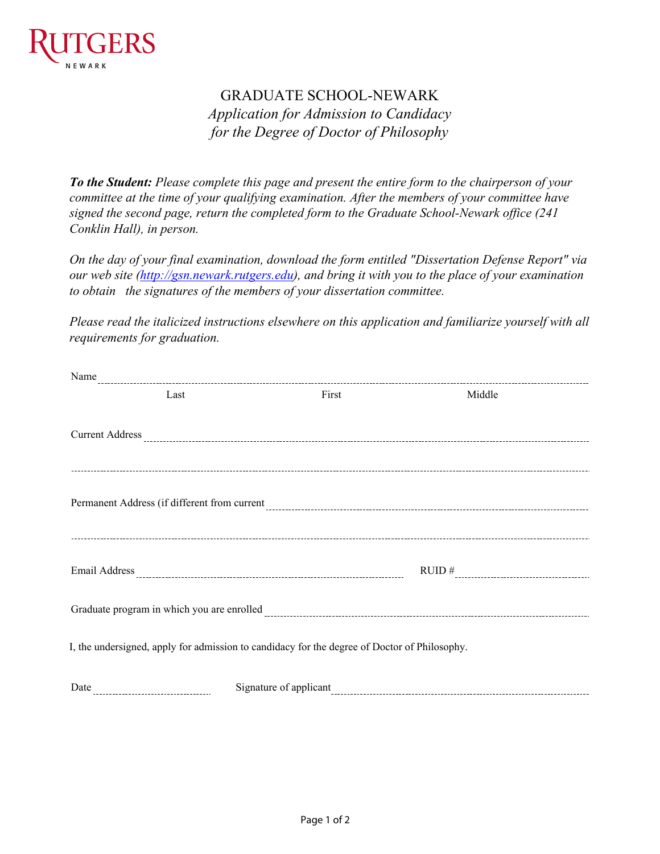

## GRADUATE SCHOOL-NEWARK *Application for Admission to Candidacy for the Degree of Doctor of Philosophy*

*To the Student: Please complete this page and present the entire form to the chairperson of your committee at the time of your qualifying examination. After the members of your committee have signed the second page, return the completed form to the Graduate School-Newark office (241 Conklin Hall), in person.*

*On the day of your final examination, download the form entitled "Dissertation Defense Report" via our web site [\(http://gsn.newark.rutgers.edu](http://gsn.newark.rutgers.edu)), and bring it with you to the place of your examination to obtain the signatures of the members of your dissertation committee.* 

*Please read the italicized instructions elsewhere on this application and familiarize yourself with all requirements for graduation.*

| Last                                                                                         | First | Middle |  |
|----------------------------------------------------------------------------------------------|-------|--------|--|
|                                                                                              |       |        |  |
|                                                                                              |       |        |  |
|                                                                                              |       |        |  |
|                                                                                              |       |        |  |
|                                                                                              |       |        |  |
|                                                                                              |       |        |  |
|                                                                                              |       |        |  |
|                                                                                              |       |        |  |
|                                                                                              |       | RUID # |  |
|                                                                                              |       |        |  |
|                                                                                              |       |        |  |
| I, the undersigned, apply for admission to candidacy for the degree of Doctor of Philosophy. |       |        |  |
|                                                                                              |       |        |  |
|                                                                                              |       |        |  |
|                                                                                              |       |        |  |